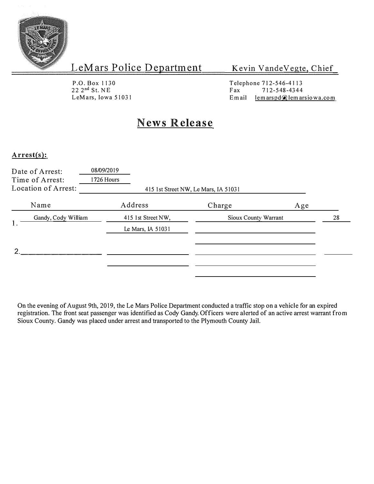

#### Kevin Vande Vegte, Chief

P.O. Box 1130<br>22 2<sup>nd</sup> St. NE

Telephone 712-546-4113<br>Fax 712-548-4344  $22 \t2^{nd}$  St. NE<br>
LeMars, Iowa 51031 Fax 712-548-4344<br>
Email  $\frac{1}{2}$  Email  $\frac{1}{2}$  Email  $\frac{1}{2}$  Email  $\frac{1}{2}$  Email  $\frac{1}{2}$  Email  $\frac{1}{2}$  Email  $\frac{1}{2}$  Email  $\frac{1}{2}$  Email  $\frac{1}{2}$  Email  $\frac{1}{2}$  Email  $lemarspd$  emarsposes are  $1$ emarsiowa.com

# **News Release**

#### **Arrest(s):**

|   | Date of Arrest:<br>Time of Arrest:<br>Location of Arrest: | 08/09/2019<br>1726 Hours | 415 1st Street NW, Le Mars, IA 51031 |    |
|---|-----------------------------------------------------------|--------------------------|--------------------------------------|----|
|   | Name                                                      | Address                  | Charge<br>Age                        |    |
|   | Gandy, Cody William                                       | 415 1st Street NW,       | <b>Sioux County Warrant</b>          | 28 |
|   |                                                           | Le Mars, IA 51031        |                                      |    |
| ◠ |                                                           |                          |                                      |    |

On the evening of August 9th, 2019, the Le Mars Police Department conducted a traffic stop on a vehicle for an expired registration. The front seat passenger was identified as Cody Gandy. Officers were alerted of an active arrest warrant from Sioux County. Gandywas placed under arrest and transported to the Plymouth County Jail.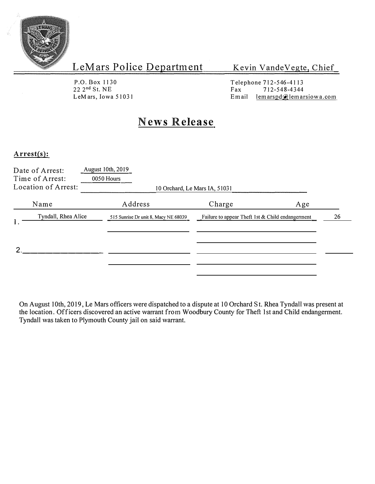

Kevin Vande Vegte, Chief

P.O. Box 1130<br>22 2<sup>nd</sup> St. NE

Telephone 712-546-4113<br>Fax 712-548-4344  $22 \t2<sup>nd</sup> St. NE$ <br>  $LeMars, Iowa 51031$ <br>  $Emal$   $lemarspd@lemar$  $l$ em arspd $\left(\partial\right)$  lemarsiowa.com

# **News Release**

#### **Arrest(s):**

| Date of Arrest:<br>Time of Arrest:<br>Location of Arrest: | August 10th, 2019<br>0050 Hours      | 10 Orchard, Le Mars IA, 51031                    |     |    |
|-----------------------------------------------------------|--------------------------------------|--------------------------------------------------|-----|----|
| Name                                                      | Address                              | Charge                                           | Age |    |
| Tyndall, Rhea Alice                                       | 515 Sunrise Dr unit 8, Macy NE 68039 | Failure to appear Theft 1st & Child endangerment |     | 26 |
|                                                           |                                      |                                                  |     |    |

On August 10th, 2019, Le Mars officers were dispatched to a dispute at 10 Orchard St. Rhea Tyndall was present at the location. Officers discovered an active warrant from Woodbury County for Theft 1st and Child endangerment. Tyndall was taken to Plymouth County jail on said warrant.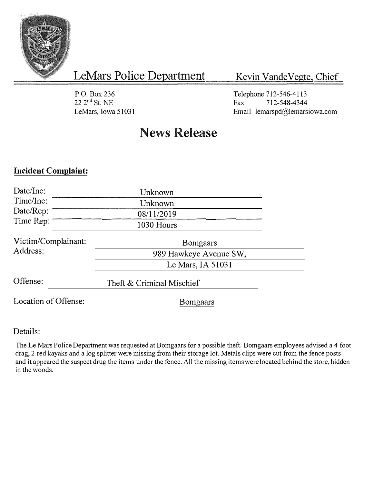

### Kevin Vande Vegte, Chief

P.O. Box236 22 2 **nd** St. NE LeMars, Iowa 51031 Telephone 712-546-4113 Fax 712-548-4344 Email lemarspd@lemarsiowa.com

# **News Release**

### **Incident Complaint:**

| Date/Inc:            | Unknown                   |  |  |
|----------------------|---------------------------|--|--|
| Time/Inc:            | Unknown                   |  |  |
| Date/Rep:            | 08/11/2019                |  |  |
| Time Rep:            | 1030 Hours                |  |  |
| Victim/Complainant:  | <b>Bomgaars</b>           |  |  |
| Address:             | 989 Hawkeye Avenue SW,    |  |  |
|                      | Le Mars, IA 51031         |  |  |
| Offense:             | Theft & Criminal Mischief |  |  |
| Location of Offense: | Bomgaars                  |  |  |

#### Details:

The Le Mars Police Department was requested at Bomgaars for a possible theft. Bomgaars employees advised a 4 foot drag, 2 red kayaks and a log splitter were missing from their storage lot. Metals clips were cut from the fence posts and it appeared the suspect drug the items under the fence. All the missing items were located behind the store, hidden in the woods.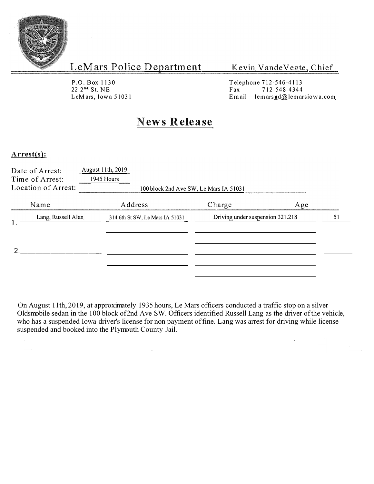

Kevin Vande Vegte, Chief

P.O.Box 1130 22 2<sup>nd</sup> St. NE<br>
LeMars, Iowa 51031 Fax

Telephone 712-546-4113<br>Fax 712-548-4344 Email lemars  $\mathsf{Id}(\widehat{\mathcal{Q}})$  lemarsiowa.com

 $\mathcal{L}^{\mathcal{L}}$ 

### **News Release**

#### **Arrest(s}:**

 $\mathcal{L}$ 

| Date of Arrest:<br>Time of Arrest:<br>Location of Arrest: | August 11th, 2019<br>1945 Hours<br>100 block 2nd Ave SW, Le Mars IA 51031 |                                  |     |    |
|-----------------------------------------------------------|---------------------------------------------------------------------------|----------------------------------|-----|----|
| Name                                                      | Address                                                                   | Charge                           | Age |    |
| Lang, Russell Alan<br>1.                                  | 314 6th St SW, Le Mars IA 51031                                           | Driving under suspension 321.218 |     | 51 |
|                                                           |                                                                           |                                  |     |    |

On August 11th, 2019, at approximately 1935 hours, Le Mars officers conducted a traffic stop on a silver Oldsmobile sedan in the 100 block of 2nd Ave SW. Officers identified Russell Lang as the driver of the vehicle, who has a suspended Iowa driver's license for non payment of fine. Lang was arrest for driving while license suspended and booked into the Plymouth County Jail.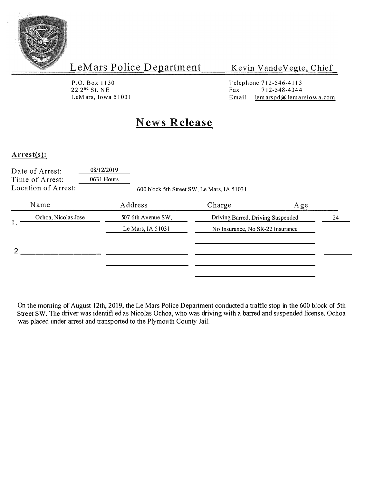

Kevin VandeVegte, Chief

P.O. Box 1130<br>22 2<sup>nd</sup> St. NE

T elephone 712-546-4113  $22 \cdot 2^{nd}$  St. NE<br>
LeMars, Iowa 51031 Fax 712-548-4344<br>
Email  $\underline{\text{lemarspd}(\textbf{Q})\text{lemar}}$ Email lemarspd@lemarsiowa.com

# **News Release**

#### **Arrest(s):**

|  | Date of Arrest:<br>Time of Arrest:<br>Location of Arrest: | 08/12/2019<br>0631 Hours | 600 block 5th Street SW, Le Mars, IA 51031 |    |
|--|-----------------------------------------------------------|--------------------------|--------------------------------------------|----|
|  | Name                                                      | Address                  | Charge<br>Age                              |    |
|  | Ochoa, Nicolas Jose                                       | 507 6th Avenue SW,       | Driving Barred, Driving Suspended          | 24 |
|  |                                                           | Le Mars, IA 51031        | No Insurance, No SR-22 Insurance           |    |
|  |                                                           |                          |                                            |    |
|  |                                                           |                          |                                            |    |

On the morning of August 12th, 2019, the Le Mars Police Department conducted a traffic stop in the 600 block of 5th Street SW. The driver was identifi ed as Nicolas Ochoa, who was driving with a barred and suspended license. Ochoa was placed under arrest and transported to the Plymouth County Jail.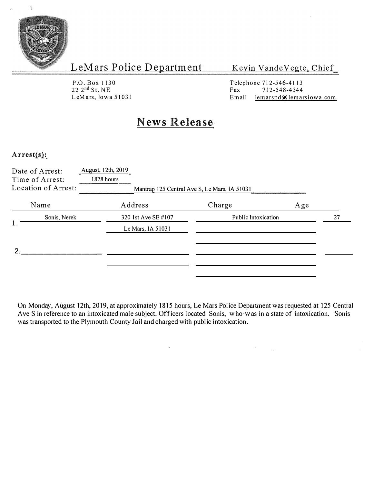

#### Kevin VandeVegte, Chief

P .O.Box 1 130 22 2 nd St. NE

Telephone 712-546-4113 Fax 712-548-4344<br>Email lemarspd@lemar LeMars, Iowa 51031 lemarspd@lemarsiowa.com

### **News Release**

#### **Arrest(s):**

|    | Date of Arrest:<br>Time of Arrest:<br>Location of Arrest: | August, 12th, 2019<br>1828 hours | Mantrap 125 Central Ave S, Le Mars, IA 51031 |                     |     |    |
|----|-----------------------------------------------------------|----------------------------------|----------------------------------------------|---------------------|-----|----|
|    | Name                                                      | Address                          |                                              | Charge              | Age |    |
| 1. | Sonis, Nerek                                              | 320 1st Ave SE #107              |                                              | Public Intoxication |     | 27 |
|    |                                                           | Le Mars, IA 51031                |                                              |                     |     |    |
| ົ  |                                                           |                                  |                                              |                     |     |    |
|    |                                                           |                                  |                                              |                     |     |    |

On Monday, August 12th, 2019, at approximately 1815 hours, Le Mars Police Department was requested at 125 Central Ave S in reference to an intoxicated male subject. Of ficers located Sonis, who was in a state of intoxication. Sonis was transported to the Plymouth County Jail and charged with public intoxication.